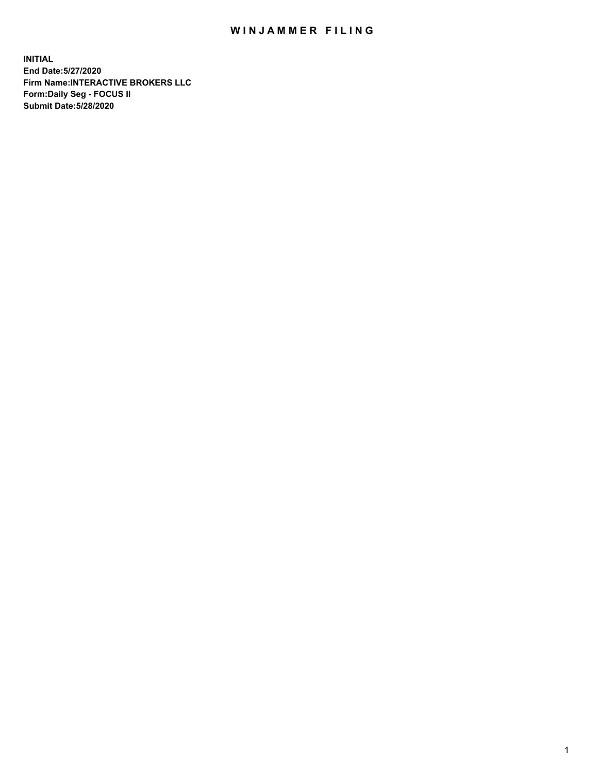## WIN JAMMER FILING

**INITIAL End Date:5/27/2020 Firm Name:INTERACTIVE BROKERS LLC Form:Daily Seg - FOCUS II Submit Date:5/28/2020**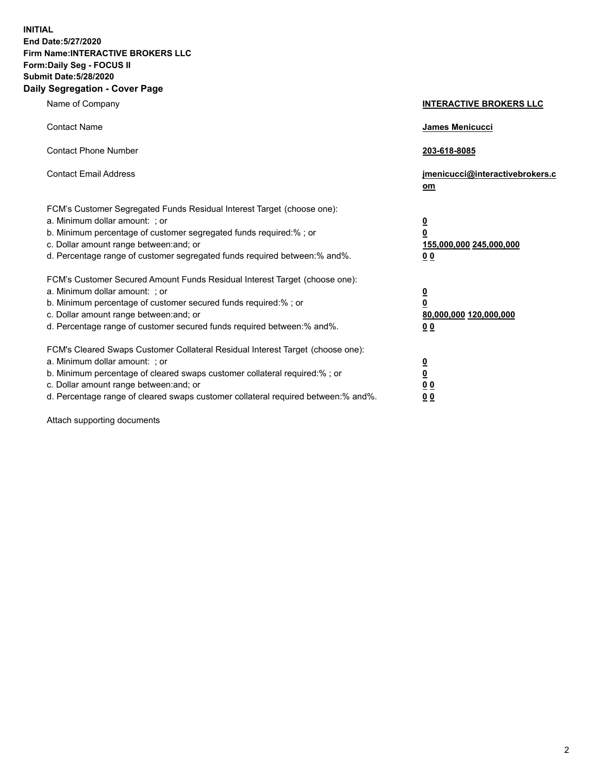**INITIAL End Date:5/27/2020 Firm Name:INTERACTIVE BROKERS LLC Form:Daily Seg - FOCUS II Submit Date:5/28/2020 Daily Segregation - Cover Page**

| Name of Company                                                                                                                                                                                                                                                                                                               | <b>INTERACTIVE BROKERS LLC</b>                                                                  |
|-------------------------------------------------------------------------------------------------------------------------------------------------------------------------------------------------------------------------------------------------------------------------------------------------------------------------------|-------------------------------------------------------------------------------------------------|
| <b>Contact Name</b>                                                                                                                                                                                                                                                                                                           | James Menicucci                                                                                 |
| <b>Contact Phone Number</b>                                                                                                                                                                                                                                                                                                   | 203-618-8085                                                                                    |
| <b>Contact Email Address</b>                                                                                                                                                                                                                                                                                                  | jmenicucci@interactivebrokers.c<br><u>om</u>                                                    |
| FCM's Customer Segregated Funds Residual Interest Target (choose one):<br>a. Minimum dollar amount: ; or<br>b. Minimum percentage of customer segregated funds required:% ; or<br>c. Dollar amount range between: and; or<br>d. Percentage range of customer segregated funds required between:% and%.                        | $\overline{\mathbf{0}}$<br>$\overline{\mathbf{0}}$<br>155,000,000 245,000,000<br>0 <sub>0</sub> |
| FCM's Customer Secured Amount Funds Residual Interest Target (choose one):<br>a. Minimum dollar amount: ; or<br>b. Minimum percentage of customer secured funds required:%; or<br>c. Dollar amount range between: and; or<br>d. Percentage range of customer secured funds required between:% and%.                           | $\overline{\mathbf{0}}$<br>$\overline{\mathbf{0}}$<br>80,000,000 120,000,000<br>0 <sub>0</sub>  |
| FCM's Cleared Swaps Customer Collateral Residual Interest Target (choose one):<br>a. Minimum dollar amount: ; or<br>b. Minimum percentage of cleared swaps customer collateral required:%; or<br>c. Dollar amount range between: and; or<br>d. Percentage range of cleared swaps customer collateral required between:% and%. | $\overline{\mathbf{0}}$<br>$\overline{\mathbf{0}}$<br>0 <sub>0</sub><br>0 <sub>0</sub>          |

Attach supporting documents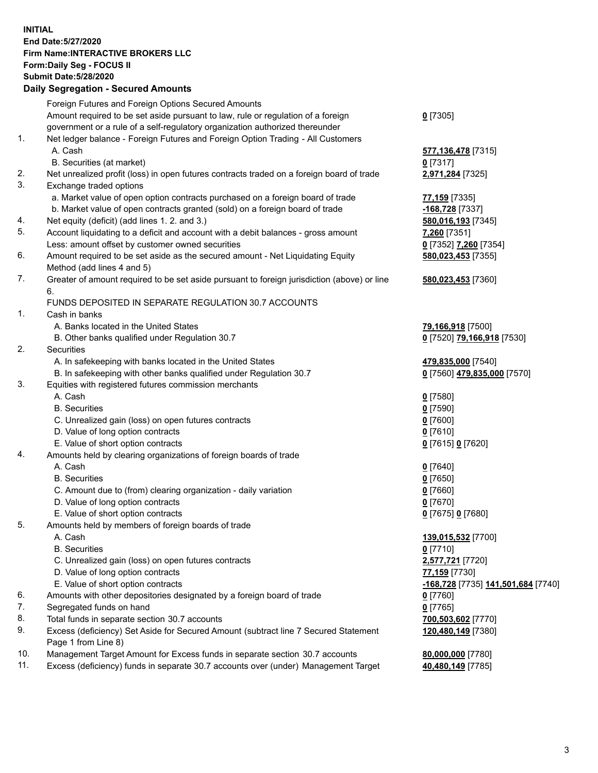**INITIAL End Date:5/27/2020 Firm Name:INTERACTIVE BROKERS LLC Form:Daily Seg - FOCUS II Submit Date:5/28/2020 Daily Segregation - Secured Amounts**

|          | Foreign Futures and Foreign Options Secured Amounts                                                |                                           |
|----------|----------------------------------------------------------------------------------------------------|-------------------------------------------|
|          | Amount required to be set aside pursuant to law, rule or regulation of a foreign                   | $0$ [7305]                                |
|          | government or a rule of a self-regulatory organization authorized thereunder                       |                                           |
| 1.       | Net ledger balance - Foreign Futures and Foreign Option Trading - All Customers                    |                                           |
|          | A. Cash                                                                                            | 577,136,478 [7315]                        |
|          | B. Securities (at market)                                                                          | $0$ [7317]                                |
| 2.       | Net unrealized profit (loss) in open futures contracts traded on a foreign board of trade          | 2,971,284 [7325]                          |
| 3.       | Exchange traded options                                                                            |                                           |
|          | a. Market value of open option contracts purchased on a foreign board of trade                     | 77,159 [7335]                             |
|          | b. Market value of open contracts granted (sold) on a foreign board of trade                       | -168,728 [7337]                           |
| 4.       | Net equity (deficit) (add lines 1. 2. and 3.)                                                      | 580,016,193 [7345]                        |
| 5.       | Account liquidating to a deficit and account with a debit balances - gross amount                  | 7,260 [7351]                              |
|          | Less: amount offset by customer owned securities                                                   | 0 [7352] 7,260 [7354]                     |
| 6.       | Amount required to be set aside as the secured amount - Net Liquidating Equity                     | 580,023,453 [7355]                        |
|          | Method (add lines 4 and 5)                                                                         |                                           |
| 7.       | Greater of amount required to be set aside pursuant to foreign jurisdiction (above) or line        | 580,023,453 [7360]                        |
|          | 6.                                                                                                 |                                           |
|          | FUNDS DEPOSITED IN SEPARATE REGULATION 30.7 ACCOUNTS                                               |                                           |
| 1.       | Cash in banks                                                                                      |                                           |
|          | A. Banks located in the United States                                                              | 79,166,918 [7500]                         |
|          | B. Other banks qualified under Regulation 30.7                                                     | 0 [7520] 79,166,918 [7530]                |
| 2.       | Securities                                                                                         |                                           |
|          | A. In safekeeping with banks located in the United States                                          | 479,835,000 [7540]                        |
|          | B. In safekeeping with other banks qualified under Regulation 30.7                                 | 0 [7560] 479,835,000 [7570]               |
| 3.       | Equities with registered futures commission merchants                                              |                                           |
|          | A. Cash                                                                                            | $0$ [7580]                                |
|          | <b>B.</b> Securities                                                                               | $0$ [7590]                                |
|          | C. Unrealized gain (loss) on open futures contracts                                                | $0$ [7600]                                |
|          | D. Value of long option contracts                                                                  | $0$ [7610]                                |
|          | E. Value of short option contracts                                                                 | 0 [7615] 0 [7620]                         |
| 4.       | Amounts held by clearing organizations of foreign boards of trade                                  |                                           |
|          | A. Cash                                                                                            | $0$ [7640]                                |
|          | <b>B.</b> Securities                                                                               | $0$ [7650]                                |
|          | C. Amount due to (from) clearing organization - daily variation                                    | $0$ [7660]                                |
|          | D. Value of long option contracts                                                                  | $0$ [7670]                                |
|          | E. Value of short option contracts                                                                 | 0 [7675] 0 [7680]                         |
| 5.       | Amounts held by members of foreign boards of trade                                                 |                                           |
|          | A. Cash                                                                                            | 139,015,532 [7700]                        |
|          | <b>B.</b> Securities                                                                               | $0$ [7710]                                |
|          | C. Unrealized gain (loss) on open futures contracts                                                | 2,577,721 [7720]                          |
|          | D. Value of long option contracts                                                                  | 77,159 [7730]                             |
|          | E. Value of short option contracts                                                                 | <u>-168,728</u> [7735] 141,501,684 [7740] |
| 6.       | Amounts with other depositories designated by a foreign board of trade                             | $0$ [7760]                                |
| 7.       | Segregated funds on hand                                                                           | $0$ [7765]                                |
| 8.<br>9. | Total funds in separate section 30.7 accounts                                                      | 700,503,602 [7770]                        |
|          | Excess (deficiency) Set Aside for Secured Amount (subtract line 7 Secured Statement                | 120,480,149 [7380]                        |
| 10.      | Page 1 from Line 8)<br>Management Target Amount for Excess funds in separate section 30.7 accounts |                                           |
| 11.      | Excess (deficiency) funds in separate 30.7 accounts over (under) Management Target                 | 80,000,000 [7780]<br>40,480,149 [7785]    |
|          |                                                                                                    |                                           |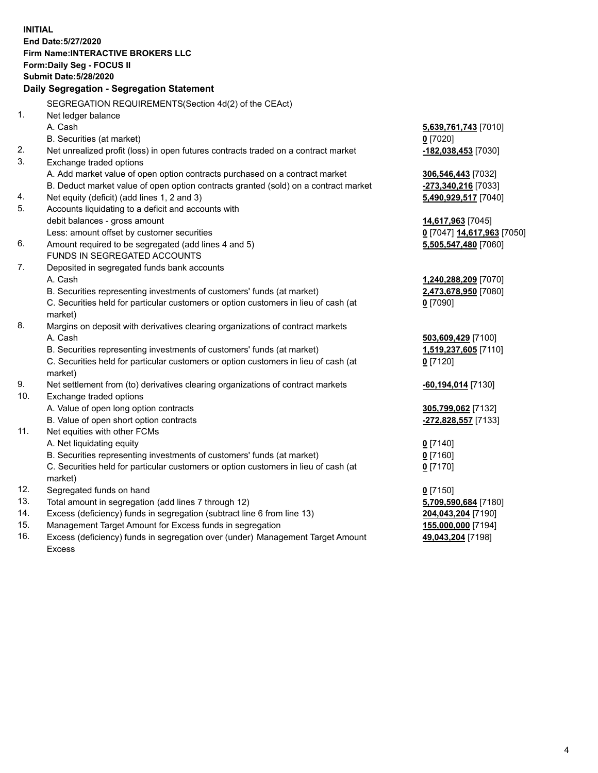**INITIAL End Date:5/27/2020 Firm Name:INTERACTIVE BROKERS LLC Form:Daily Seg - FOCUS II Submit Date:5/28/2020 Daily Segregation - Segregation Statement** SEGREGATION REQUIREMENTS(Section 4d(2) of the CEAct) 1. Net ledger balance A. Cash **5,639,761,743** [7010] B. Securities (at market) **0** [7020] 2. Net unrealized profit (loss) in open futures contracts traded on a contract market **-182,038,453** [7030] 3. Exchange traded options A. Add market value of open option contracts purchased on a contract market **306,546,443** [7032] B. Deduct market value of open option contracts granted (sold) on a contract market **-273,340,216** [7033] 4. Net equity (deficit) (add lines 1, 2 and 3) **5,490,929,517** [7040] 5. Accounts liquidating to a deficit and accounts with debit balances - gross amount **14,617,963** [7045] Less: amount offset by customer securities **0** [7047] **14,617,963** [7050] 6. Amount required to be segregated (add lines 4 and 5) **5,505,547,480** [7060] FUNDS IN SEGREGATED ACCOUNTS 7. Deposited in segregated funds bank accounts A. Cash **1,240,288,209** [7070] B. Securities representing investments of customers' funds (at market) **2,473,678,950** [7080] C. Securities held for particular customers or option customers in lieu of cash (at market) **0** [7090] 8. Margins on deposit with derivatives clearing organizations of contract markets A. Cash **503,609,429** [7100] B. Securities representing investments of customers' funds (at market) **1,519,237,605** [7110] C. Securities held for particular customers or option customers in lieu of cash (at market) **0** [7120] 9. Net settlement from (to) derivatives clearing organizations of contract markets **-60,194,014** [7130] 10. Exchange traded options A. Value of open long option contracts **305,799,062** [7132] B. Value of open short option contracts **-272,828,557** [7133] 11. Net equities with other FCMs A. Net liquidating equity **0** [7140] B. Securities representing investments of customers' funds (at market) **0** [7160] C. Securities held for particular customers or option customers in lieu of cash (at market) **0** [7170] 12. Segregated funds on hand **0** [7150] 13. Total amount in segregation (add lines 7 through 12) **5,709,590,684** [7180] 14. Excess (deficiency) funds in segregation (subtract line 6 from line 13) **204,043,204** [7190] 15. Management Target Amount for Excess funds in segregation **155,000,000** [7194]

16. Excess (deficiency) funds in segregation over (under) Management Target Amount Excess

**49,043,204** [7198]